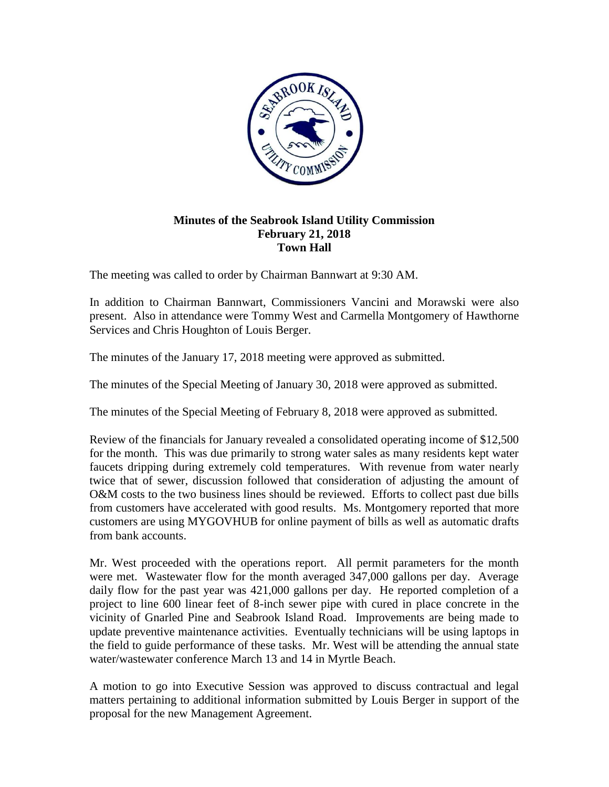

## **Minutes of the Seabrook Island Utility Commission February 21, 2018 Town Hall**

The meeting was called to order by Chairman Bannwart at 9:30 AM.

In addition to Chairman Bannwart, Commissioners Vancini and Morawski were also present. Also in attendance were Tommy West and Carmella Montgomery of Hawthorne Services and Chris Houghton of Louis Berger.

The minutes of the January 17, 2018 meeting were approved as submitted.

The minutes of the Special Meeting of January 30, 2018 were approved as submitted.

The minutes of the Special Meeting of February 8, 2018 were approved as submitted.

Review of the financials for January revealed a consolidated operating income of \$12,500 for the month. This was due primarily to strong water sales as many residents kept water faucets dripping during extremely cold temperatures. With revenue from water nearly twice that of sewer, discussion followed that consideration of adjusting the amount of O&M costs to the two business lines should be reviewed. Efforts to collect past due bills from customers have accelerated with good results. Ms. Montgomery reported that more customers are using MYGOVHUB for online payment of bills as well as automatic drafts from bank accounts.

Mr. West proceeded with the operations report. All permit parameters for the month were met. Wastewater flow for the month averaged 347,000 gallons per day. Average daily flow for the past year was 421,000 gallons per day. He reported completion of a project to line 600 linear feet of 8-inch sewer pipe with cured in place concrete in the vicinity of Gnarled Pine and Seabrook Island Road. Improvements are being made to update preventive maintenance activities. Eventually technicians will be using laptops in the field to guide performance of these tasks. Mr. West will be attending the annual state water/wastewater conference March 13 and 14 in Myrtle Beach.

A motion to go into Executive Session was approved to discuss contractual and legal matters pertaining to additional information submitted by Louis Berger in support of the proposal for the new Management Agreement.